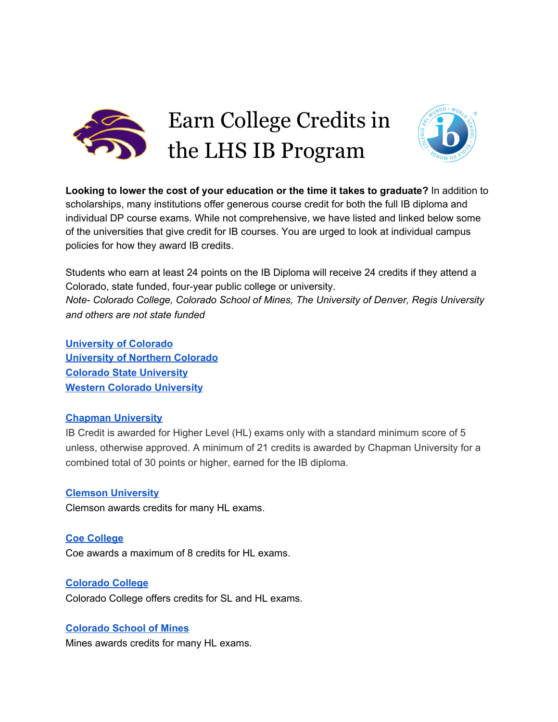

Earn College Credits in the LHS IB Program



**Looking to lower the cost of your education or the time it takes to graduate?** In addition to scholarships, many institutions offer generous course credit for both the full IB diploma and individual DP course exams. While not comprehensive, we have listed and linked below some of the universities that give credit for IB courses. You are urged to look at individual campus policies for how they award IB credits.

Students who earn at least 24 points on the IB Diploma will receive 24 credits if they attend a Colorado, state funded, four-year public college or university. *Note- Colorado College, Colorado School of Mines, The University of Denver, Regis University and others are not state funded*

**[University](https://catalog.colorado.edu/undergraduate/admissions/credit-examination/#internationalbaccalaureateibcredittext) of Colorado [University](https://www.unco.edu/registrar/transfer/international-baccalaureate-equivalencies.aspx) of Northern Colorado Colorado State [University](https://registrar.colostate.edu/international-baccalaureate-ib/) Western Colorado [University](https://western.edu/about/administration/academic-affairs/office-of-the-registrar/ap-clep-and-ib-credit/)**

### **Chapman [University](https://www.chapman.edu/students/academic-resources/registrar/student-services/course-registration/new-student/ib-equivalencies.aspx)**

IB Credit is awarded for Higher Level (HL) exams only with a standard minimum score of 5 unless, otherwise approved. A minimum of 21 credits is awarded by Chapman University for a combined total of 30 points or higher, earned for the IB diploma.

### **Clemson [University](https://www.clemson.edu/admissions/undergraduate/documents/ibcreditchart.pdf)**

Clemson awards credits for many HL exams.

**Coe [College](https://www.coe.edu/academics/academic-resources/registrar/credit-transfer-information)** Coe awards a maximum of 8 credits for HL exams.

### **[Colorado](https://www.coloradocollege.edu/offices/registrar/ap-and-ib-credit.html) College**

Colorado College offers credits for SL and HL exams.

### **[Colorado](http://inside.mines.edu/International-Baccalaureate-Credit) School of Mines**

Mines awards credits for many HL exams.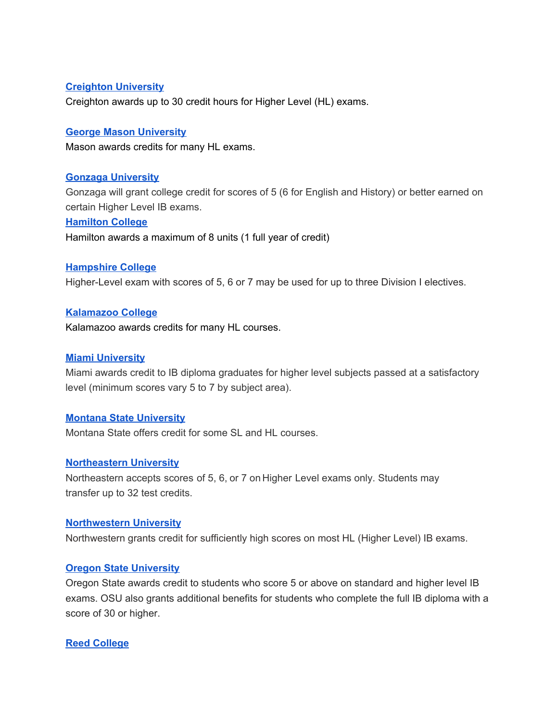### **Creighton [University](https://admissions.creighton.edu/sites/admissions.creighton.edu/files/ib_guidelines_2019.pdf)**

Creighton awards up to 30 credit hours for Higher Level (HL) exams.

### **George Mason [University](https://www2.gmu.edu/admissions-aid/how-apply/transfer/transfer-credit-policy)**

Mason awards credits for many HL exams.

### **Gonzaga [University](https://www.gonzaga.edu/undergraduate-admission/apply/how-to-apply/first-year-students/international-baccalaureate)**

Gonzaga will grant college credit for scores of 5 (6 for English and History) or better earned on certain Higher Level IB exams.

### **[Hamilton](https://www.hamilton.edu/offices/registrar/transfer-credit-information) College**

Hamilton awards a maximum of 8 units (1 full year of credit)

### **[Hampshire](https://www.hampshire.edu/) College**

Higher-Level exam with scores of 5, 6 or 7 may be used for up to three Division I electives.

### **[Kalamazoo](https://reason.kzoo.edu/registrar/ap_course_equivalencies/) College**

Kalamazoo awards credits for many HL courses.

### **Miami [University](http://miamioh.edu/admission/high-school/ap-ib-credit/index.html#ib)**

Miami awards credit to IB diploma graduates for higher level subjects passed at a satisfactory level (minimum scores vary 5 to 7 by subject area).

### **Montana State [University](http://www.montana.edu/admissions/ib/ib.pdf)**

Montana State offers credit for some SL and HL courses.

### **[Northeastern](https://www.northeastern.edu/admissions/wp-content/uploads/2017/09/IB-Total-Exam-Guide-2017-2018.pdf) University**

Northeastern accepts scores of 5, 6, or 7 on Higher Level exams only. Students may transfer up to 32 test credits.

#### **[Northwestern](https://www.registrar.northwestern.edu/registration-graduation/transfer-and-test-credit/advanced-placement-and-international-baccalaureate-credits.html) University**

Northwestern grants credit for sufficiently high scores on most HL (Higher Level) IB exams.

#### **Oregon State [University](https://admissions.oregonstate.edu/credit-opportunities)**

Oregon State awards credit to students who score 5 or above on standard and higher level IB exams. OSU also grants additional benefits for students who complete the full IB diploma with a score of 30 or higher.

#### **Reed [College](https://www.reed.edu/apply/guide-to-applying/first-year/ap-guide.html#IB)**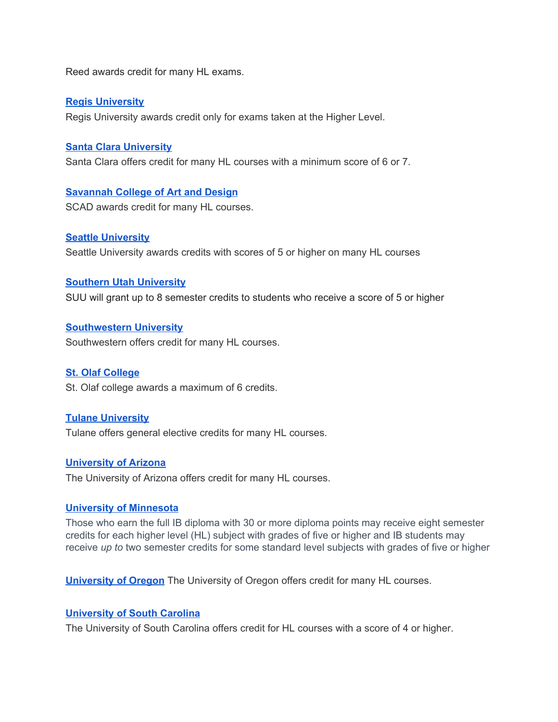Reed awards credit for many HL exams.

### **Regis [University](https://www.regis.edu/College-Admissions-and-Financial-Aid/Applying-College-Credit-AP-IB.aspx)**

Regis University awards credit only for exams taken at the Higher Level.

### **Santa Clara [University](https://www.scu.edu/bulletin/undergraduate/chapter-8/AcademicCreditEvaluation.html)**

Santa Clara offers credit for many HL courses with a minimum score of 6 or 7.

### **[Savannah](https://www.scad.edu/admission/admission-information/transfer/international-baccalaureate-credit) College of Art and Design**

SCAD awards credit for many HL courses.

### **Seattle [University](https://www.seattleu.edu/media/redhawk-service-center/registrar/registrar-policies/International-Baccalaureate-99-01.pdf)**

Seattle University awards credits with scores of 5 or higher on many HL courses

### **Southern Utah [University](https://www.suu.edu/registrar/ibcredit.html)**

SUU will grant up to 8 semester credits to students who receive a score of 5 or higher

### **[Southwestern](https://www.southwestern.edu/live/files/6930-ib-exam-chart-apr2018pdf) University**

Southwestern offers credit for many HL courses.

### **St. Olaf [College](http://catalog.stolaf.edu/academic-regulations-procedures/transfer-credit/)**

St. Olaf college awards a maximum of 6 credits.

### **Tulane [University](https://admission.tulane.edu/academics/earning-college-credit/ap-ib-exams)**

Tulane offers general elective credits for many HL courses.

### **[University](https://catalog.arizona.edu/policy/international-baccalaureate-ib-program) of Arizona**

The University of Arizona offers credit for many HL courses.

### **University of [Minnesota](https://admissions.tc.umn.edu/academics/ib.html)**

Those who earn the full IB diploma with 30 or more diploma points may receive eight semester credits for each higher level (HL) subject with grades of five or higher and IB students may receive *up to* two semester credits for some standard level subjects with grades of five or higher

**[University](https://registrar.uoregon.edu/current-students/alternative-ways-to-earn-credit/international-baccalaureate-exam-charts) of Oregon** The University of Oregon offers credit for many HL courses.

### **[University](https://sc.edu/about/offices_and_divisions/undergraduate_admissions/requirements/for_freshmen/ap_ib_credits/) of South Carolina**

The University of South Carolina offers credit for HL courses with a score of 4 or higher.